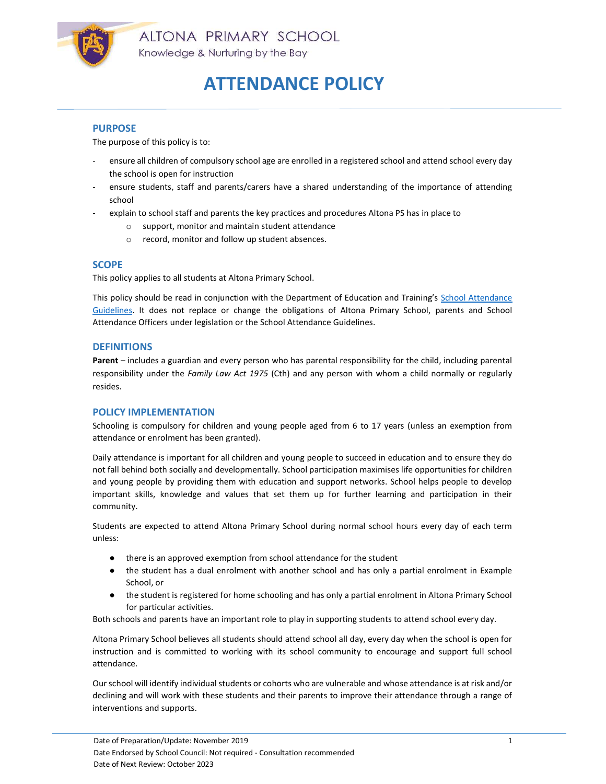

### PURPOSE

The purpose of this policy is to:

- ensure all children of compulsory school age are enrolled in a registered school and attend school every day the school is open for instruction
- ensure students, staff and parents/carers have a shared understanding of the importance of attending school
- explain to school staff and parents the key practices and procedures Altona PS has in place to
	- o support, monitor and maintain student attendance
	- o record, monitor and follow up student absences.

### **SCOPE**

This policy applies to all students at Altona Primary School.

This policy should be read in conjunction with the Department of Education and Training's School Attendance Guidelines. It does not replace or change the obligations of Altona Primary School, parents and School Attendance Officers under legislation or the School Attendance Guidelines.

#### **DEFINITIONS**

Parent – includes a guardian and every person who has parental responsibility for the child, including parental responsibility under the Family Law Act 1975 (Cth) and any person with whom a child normally or regularly resides.

#### POLICY IMPLEMENTATION

Schooling is compulsory for children and young people aged from 6 to 17 years (unless an exemption from attendance or enrolment has been granted).

Daily attendance is important for all children and young people to succeed in education and to ensure they do not fall behind both socially and developmentally. School participation maximises life opportunities for children and young people by providing them with education and support networks. School helps people to develop important skills, knowledge and values that set them up for further learning and participation in their community.

Students are expected to attend Altona Primary School during normal school hours every day of each term unless:

- there is an approved exemption from school attendance for the student
- the student has a dual enrolment with another school and has only a partial enrolment in Example School, or
- the student is registered for home schooling and has only a partial enrolment in Altona Primary School for particular activities.

Both schools and parents have an important role to play in supporting students to attend school every day.

Altona Primary School believes all students should attend school all day, every day when the school is open for instruction and is committed to working with its school community to encourage and support full school attendance.

Our school will identify individual students or cohorts who are vulnerable and whose attendance is at risk and/or declining and will work with these students and their parents to improve their attendance through a range of interventions and supports.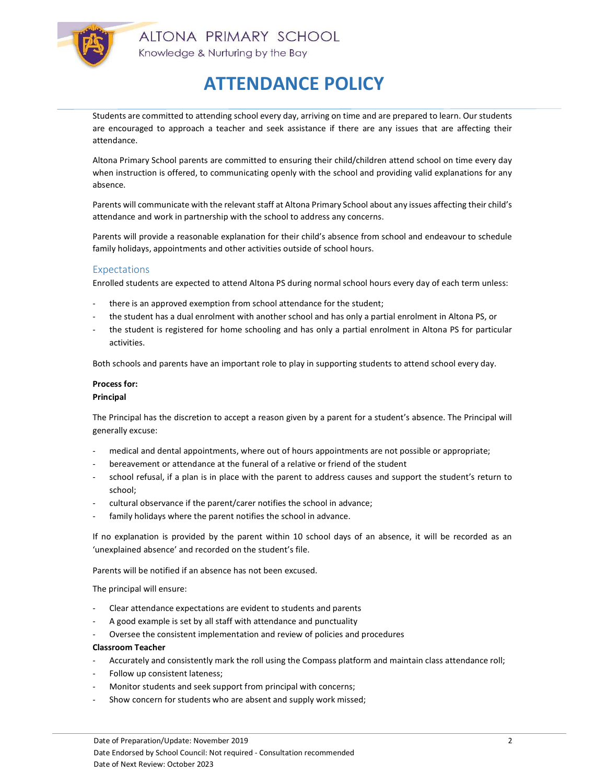

Students are committed to attending school every day, arriving on time and are prepared to learn. Our students are encouraged to approach a teacher and seek assistance if there are any issues that are affecting their attendance.

Altona Primary School parents are committed to ensuring their child/children attend school on time every day when instruction is offered, to communicating openly with the school and providing valid explanations for any absence.

Parents will communicate with the relevant staff at Altona Primary School about any issues affecting their child's attendance and work in partnership with the school to address any concerns.

Parents will provide a reasonable explanation for their child's absence from school and endeavour to schedule family holidays, appointments and other activities outside of school hours.

# **Expectations**

Enrolled students are expected to attend Altona PS during normal school hours every day of each term unless:

- there is an approved exemption from school attendance for the student;
- the student has a dual enrolment with another school and has only a partial enrolment in Altona PS, or
- the student is registered for home schooling and has only a partial enrolment in Altona PS for particular activities.

Both schools and parents have an important role to play in supporting students to attend school every day.

#### Process for:

#### Principal

The Principal has the discretion to accept a reason given by a parent for a student's absence. The Principal will generally excuse:

- medical and dental appointments, where out of hours appointments are not possible or appropriate;
- bereavement or attendance at the funeral of a relative or friend of the student
- school refusal, if a plan is in place with the parent to address causes and support the student's return to school;
- cultural observance if the parent/carer notifies the school in advance;
- family holidays where the parent notifies the school in advance.

If no explanation is provided by the parent within 10 school days of an absence, it will be recorded as an 'unexplained absence' and recorded on the student's file.

Parents will be notified if an absence has not been excused.

The principal will ensure:

- Clear attendance expectations are evident to students and parents
- A good example is set by all staff with attendance and punctuality
- Oversee the consistent implementation and review of policies and procedures

#### Classroom Teacher

- Accurately and consistently mark the roll using the Compass platform and maintain class attendance roll;
- Follow up consistent lateness;
- Monitor students and seek support from principal with concerns;
- Show concern for students who are absent and supply work missed;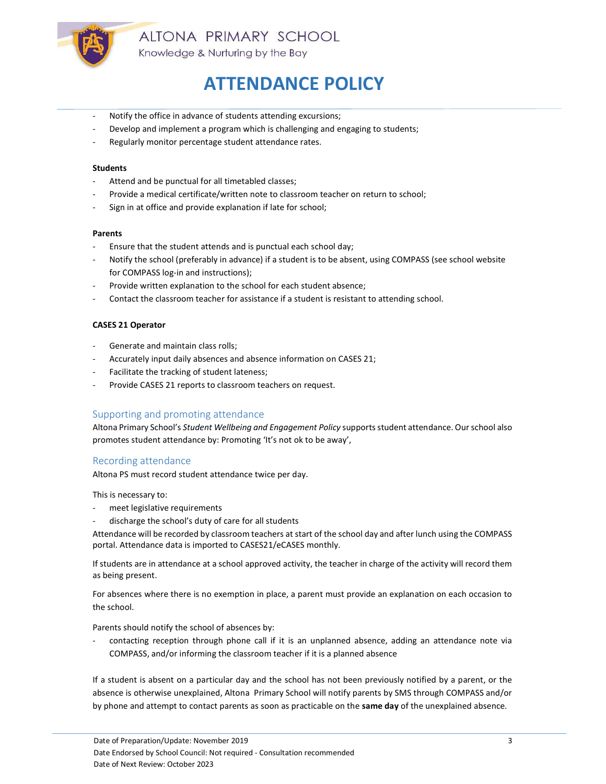

- Notify the office in advance of students attending excursions;
- Develop and implement a program which is challenging and engaging to students;
- Regularly monitor percentage student attendance rates.

#### Students

- Attend and be punctual for all timetabled classes;
- Provide a medical certificate/written note to classroom teacher on return to school;
- Sign in at office and provide explanation if late for school;

#### Parents

- Ensure that the student attends and is punctual each school day;
- Notify the school (preferably in advance) if a student is to be absent, using COMPASS (see school website for COMPASS log-in and instructions);
- Provide written explanation to the school for each student absence;
- Contact the classroom teacher for assistance if a student is resistant to attending school.

#### CASES 21 Operator

- Generate and maintain class rolls;
- Accurately input daily absences and absence information on CASES 21;
- Facilitate the tracking of student lateness;
- Provide CASES 21 reports to classroom teachers on request.

# Supporting and promoting attendance

Altona Primary School's Student Wellbeing and Engagement Policy supports student attendance. Our school also promotes student attendance by: Promoting 'It's not ok to be away',

# Recording attendance

Altona PS must record student attendance twice per day.

This is necessary to:

- meet legislative requirements
- discharge the school's duty of care for all students

Attendance will be recorded by classroom teachers at start of the school day and after lunch using the COMPASS portal. Attendance data is imported to CASES21/eCASES monthly.

If students are in attendance at a school approved activity, the teacher in charge of the activity will record them as being present.

For absences where there is no exemption in place, a parent must provide an explanation on each occasion to the school.

Parents should notify the school of absences by:

contacting reception through phone call if it is an unplanned absence, adding an attendance note via COMPASS, and/or informing the classroom teacher if it is a planned absence

If a student is absent on a particular day and the school has not been previously notified by a parent, or the absence is otherwise unexplained, Altona Primary School will notify parents by SMS through COMPASS and/or by phone and attempt to contact parents as soon as practicable on the same day of the unexplained absence.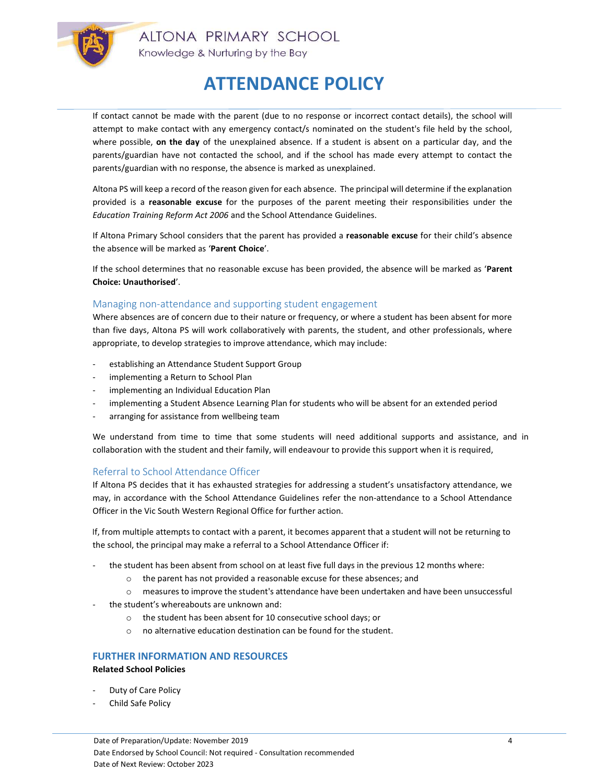

If contact cannot be made with the parent (due to no response or incorrect contact details), the school will attempt to make contact with any emergency contact/s nominated on the student's file held by the school, where possible, on the day of the unexplained absence. If a student is absent on a particular day, and the parents/guardian have not contacted the school, and if the school has made every attempt to contact the parents/guardian with no response, the absence is marked as unexplained.

Altona PS will keep a record of the reason given for each absence. The principal will determine if the explanation provided is a reasonable excuse for the purposes of the parent meeting their responsibilities under the Education Training Reform Act 2006 and the School Attendance Guidelines.

If Altona Primary School considers that the parent has provided a reasonable excuse for their child's absence the absence will be marked as 'Parent Choice'.

If the school determines that no reasonable excuse has been provided, the absence will be marked as 'Parent Choice: Unauthorised'.

# Managing non-attendance and supporting student engagement

Where absences are of concern due to their nature or frequency, or where a student has been absent for more than five days, Altona PS will work collaboratively with parents, the student, and other professionals, where appropriate, to develop strategies to improve attendance, which may include:

- establishing an Attendance Student Support Group
- implementing a Return to School Plan
- implementing an Individual Education Plan
- implementing a Student Absence Learning Plan for students who will be absent for an extended period
- arranging for assistance from wellbeing team

We understand from time to time that some students will need additional supports and assistance, and in collaboration with the student and their family, will endeavour to provide this support when it is required,

# Referral to School Attendance Officer

If Altona PS decides that it has exhausted strategies for addressing a student's unsatisfactory attendance, we may, in accordance with the School Attendance Guidelines refer the non-attendance to a School Attendance Officer in the Vic South Western Regional Office for further action.

If, from multiple attempts to contact with a parent, it becomes apparent that a student will not be returning to the school, the principal may make a referral to a School Attendance Officer if:

- the student has been absent from school on at least five full days in the previous 12 months where:
	- o the parent has not provided a reasonable excuse for these absences; and
	- o measures to improve the student's attendance have been undertaken and have been unsuccessful
- the student's whereabouts are unknown and:
	- o the student has been absent for 10 consecutive school days; or
	- $\circ$  no alternative education destination can be found for the student.

# FURTHER INFORMATION AND RESOURCES

### Related School Policies

- Duty of Care Policy
- Child Safe Policy